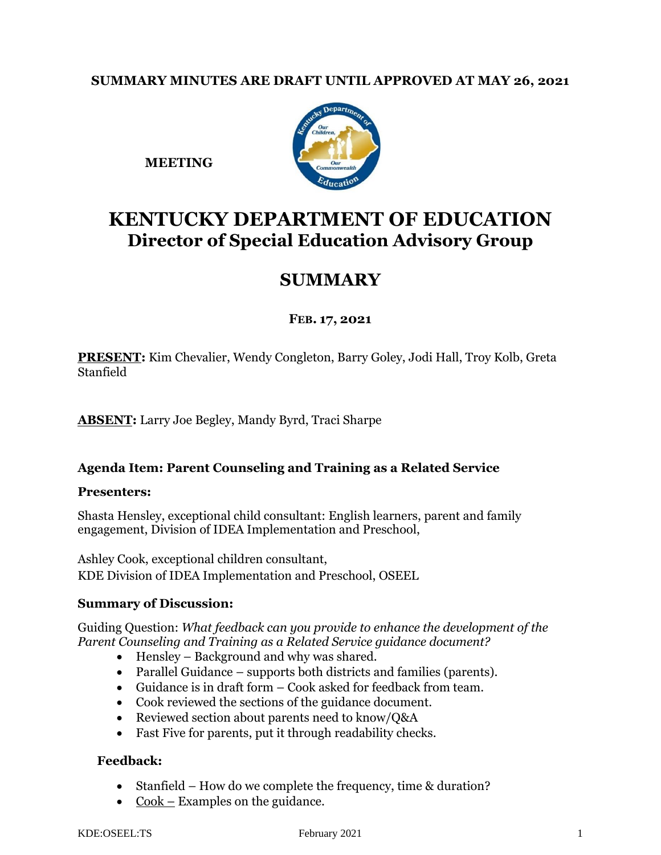# **SUMMARY MINUTES ARE DRAFT UNTIL APPROVED AT MAY 26, 2021**



**MEETING** 

# **KENTUCKY DEPARTMENT OF EDUCATION Director of Special Education Advisory Group**

# **SUMMARY**

# **FEB. 17, 2021**

**PRESENT:** Kim Chevalier, Wendy Congleton, Barry Goley, Jodi Hall, Troy Kolb, Greta Stanfield

**ABSENT:** Larry Joe Begley, Mandy Byrd, Traci Sharpe

## **Agenda Item: Parent Counseling and Training as a Related Service**

## **Presenters:**

Shasta Hensley, exceptional child consultant: English learners, parent and family engagement, Division of IDEA Implementation and Preschool,

Ashley Cook, exceptional children consultant, KDE Division of IDEA Implementation and Preschool, OSEEL

## **Summary of Discussion:**

Guiding Question: *What feedback can you provide to enhance the development of the Parent Counseling and Training as a Related Service guidance document?*

- Hensley Background and why was shared.
- Parallel Guidance supports both districts and families (parents).
- Guidance is in draft form Cook asked for feedback from team.
- Cook reviewed the sections of the guidance document.
- Reviewed section about parents need to know/Q&A
- Fast Five for parents, put it through readability checks.

# **Feedback:**

- Stanfield How do we complete the frequency, time & duration?
- $Cook$  Examples on the guidance.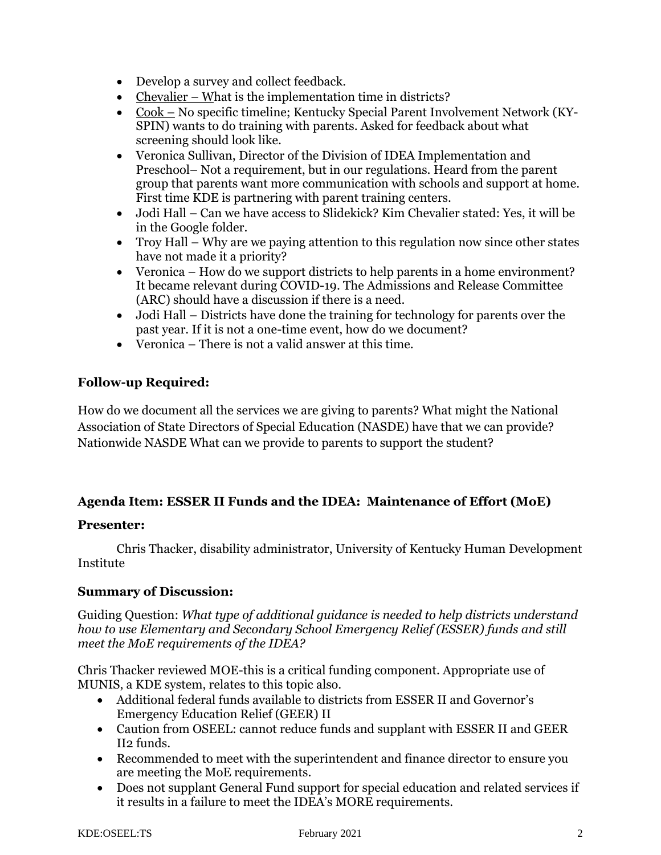- Develop a survey and collect feedback.
- Chevalier What is the implementation time in districts?
- Cook No specific timeline; Kentucky Special Parent Involvement Network (KY-SPIN) wants to do training with parents. Asked for feedback about what screening should look like.
- Veronica Sullivan, Director of the Division of IDEA Implementation and Preschool– Not a requirement, but in our regulations. Heard from the parent group that parents want more communication with schools and support at home. First time KDE is partnering with parent training centers.
- Jodi Hall Can we have access to Slidekick? Kim Chevalier stated: Yes, it will be in the Google folder.
- Troy Hall Why are we paying attention to this regulation now since other states have not made it a priority?
- Veronica How do we support districts to help parents in a home environment? It became relevant during COVID-19. The Admissions and Release Committee (ARC) should have a discussion if there is a need.
- Jodi Hall Districts have done the training for technology for parents over the past year. If it is not a one-time event, how do we document?
- Veronica There is not a valid answer at this time.

# **Follow-up Required:**

How do we document all the services we are giving to parents? What might the National Association of State Directors of Special Education (NASDE) have that we can provide? Nationwide NASDE What can we provide to parents to support the student?

# **Agenda Item: ESSER II Funds and the IDEA: Maintenance of Effort (MoE)**

## **Presenter:**

Chris Thacker, disability administrator, University of Kentucky Human Development Institute

## **Summary of Discussion:**

Guiding Question: *What type of additional guidance is needed to help districts understand how to use Elementary and Secondary School Emergency Relief (ESSER) funds and still meet the MoE requirements of the IDEA?*

Chris Thacker reviewed MOE-this is a critical funding component. Appropriate use of MUNIS, a KDE system, relates to this topic also.

- Additional federal funds available to districts from ESSER II and Governor's Emergency Education Relief (GEER) II
- Caution from OSEEL: cannot reduce funds and supplant with ESSER II and GEER II2 funds.
- Recommended to meet with the superintendent and finance director to ensure you are meeting the MoE requirements.
- Does not supplant General Fund support for special education and related services if it results in a failure to meet the IDEA's MORE requirements.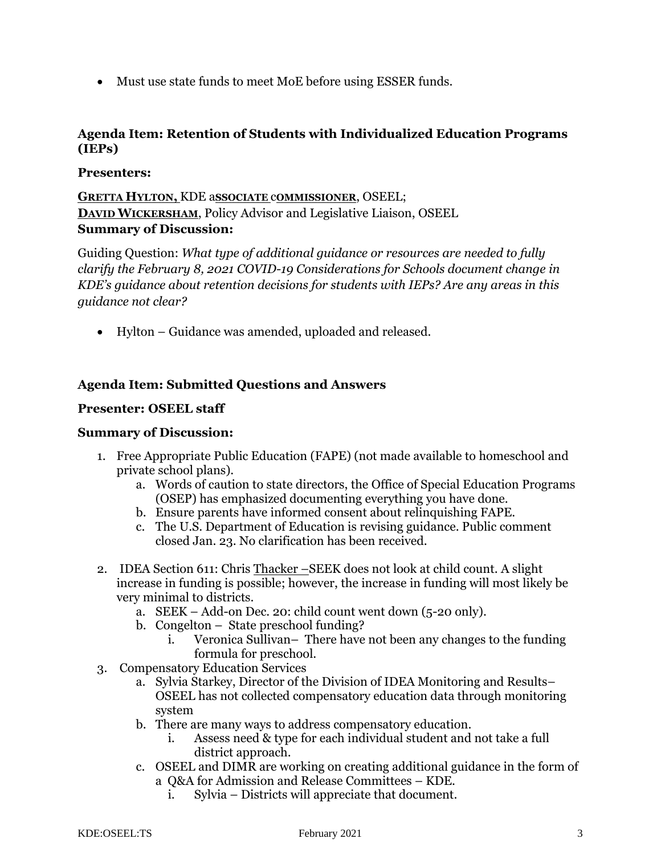• Must use state funds to meet MoE before using ESSER funds.

# **Agenda Item: Retention of Students with Individualized Education Programs (IEPs)**

#### **Presenters:**

**GRETTA HYLTON,** KDE a**SSOCIATE** c**OMMISSIONER**, OSEEL; **DAVID WICKERSHAM**, Policy Advisor and Legislative Liaison, OSEEL **Summary of Discussion:**

Guiding Question: *What type of additional guidance or resources are needed to fully clarify the February 8, 2021 COVID-19 Considerations for Schools document change in KDE's guidance about retention decisions for students with IEPs? Are any areas in this guidance not clear?*

• Hylton – Guidance was amended, uploaded and released.

## **Agenda Item: Submitted Questions and Answers**

#### **Presenter: OSEEL staff**

#### **Summary of Discussion:**

- 1. Free Appropriate Public Education (FAPE) (not made available to homeschool and private school plans).
	- a. Words of caution to state directors, the Office of Special Education Programs (OSEP) has emphasized documenting everything you have done.
	- b. Ensure parents have informed consent about relinquishing FAPE.
	- c. The U.S. Department of Education is revising guidance. Public comment closed Jan. 23. No clarification has been received.
- 2. IDEA Section 611: Chris Thacker –SEEK does not look at child count. A slight increase in funding is possible; however, the increase in funding will most likely be very minimal to districts.
	- a. SEEK Add-on Dec. 20: child count went down (5-20 only).
	- b. Congelton State preschool funding?
		- i. Veronica Sullivan– There have not been any changes to the funding formula for preschool.
- 3. Compensatory Education Services
	- a. Sylvia Starkey, Director of the Division of IDEA Monitoring and Results– OSEEL has not collected compensatory education data through monitoring system
	- b. There are many ways to address compensatory education.
		- i. Assess need & type for each individual student and not take a full district approach.
	- c. OSEEL and DIMR are working on creating additional guidance in the form of a Q&A for Admission and Release Committees – KDE.
		- i. Sylvia Districts will appreciate that document.